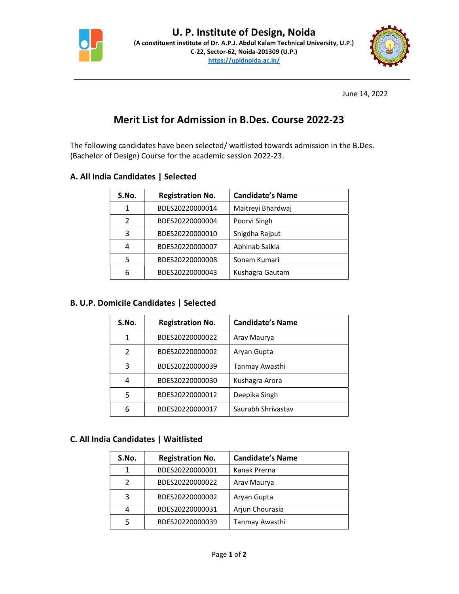



June 14, 2022

# Merit List for Admission in B.Des. Course 2022-23

The following candidates have been selected/ waitlisted towards admission in the B.Des. (Bachelor of Design) Course for the academic session 2022-23.

### A. All India Candidates | Selected

| S.No.         | <b>Registration No.</b> | <b>Candidate's Name</b> |
|---------------|-------------------------|-------------------------|
| 1             | BDES20220000014         | Maitreyi Bhardwaj       |
| $\mathcal{P}$ | BDES20220000004         | Poorvi Singh            |
| 3             | BDES20220000010         | Snigdha Rajput          |
| 4             | BDES20220000007         | Abhinab Saikia          |
| 5             | BDES20220000008         | Sonam Kumari            |
| 6             | BDES20220000043         | Kushagra Gautam         |

#### B. U.P. Domicile Candidates | Selected

| S.No.         | <b>Registration No.</b> | <b>Candidate's Name</b> |
|---------------|-------------------------|-------------------------|
| 1             | BDES20220000022         | Arav Maurya             |
| $\mathcal{P}$ | BDES20220000002         | Aryan Gupta             |
| 3             | BDES20220000039         | Tanmay Awasthi          |
| 4             | BDES20220000030         | Kushagra Arora          |
| 5             | BDES20220000012         | Deepika Singh           |
| 6             | BDES20220000017         | Saurabh Shrivastav      |

## C. All India Candidates | Waitlisted

| S.No. | <b>Registration No.</b> | <b>Candidate's Name</b> |
|-------|-------------------------|-------------------------|
| 1     | BDES20220000001         | Kanak Prerna            |
| 2     | BDES20220000022         | Arav Maurya             |
| 3     | BDES20220000002         | Aryan Gupta             |
| 4     | BDES20220000031         | Arjun Chourasia         |
| 5     | BDES20220000039         | Tanmay Awasthi          |